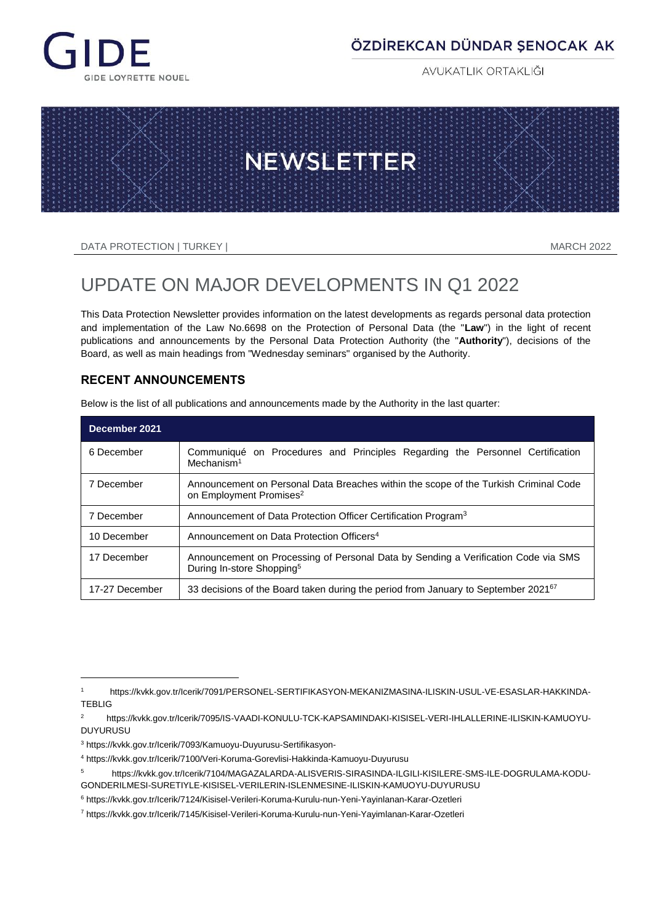

# ÖZDİREKCAN DÜNDAR SENOCAK AK

**AVUKATLIK ORTAKLIĞI** 



DATA PROTECTION | TURKEY | MARCH 2022

# UPDATE ON MAJOR DEVELOPMENTS IN Q1 2022

This Data Protection Newsletter provides information on the latest developments as regards personal data protection and implementation of the Law No.6698 on the Protection of Personal Data (the "**Law**") in the light of recent publications and announcements by the Personal Data Protection Authority (the "**Authority**"), decisions of the Board, as well as main headings from "Wednesday seminars" organised by the Authority.

## **RECENT ANNOUNCEMENTS**

| December 2021  |                                                                                                                             |  |  |
|----------------|-----------------------------------------------------------------------------------------------------------------------------|--|--|
| 6 December     | Communiqué on Procedures and Principles Regarding the Personnel Certification<br>Mechanism <sup>1</sup>                     |  |  |
| 7 December     | Announcement on Personal Data Breaches within the scope of the Turkish Criminal Code<br>on Employment Promises <sup>2</sup> |  |  |
| 7 December     | Announcement of Data Protection Officer Certification Program <sup>3</sup>                                                  |  |  |
| 10 December    | Announcement on Data Protection Officers <sup>4</sup>                                                                       |  |  |
| 17 December    | Announcement on Processing of Personal Data by Sending a Verification Code via SMS<br>During In-store Shopping <sup>5</sup> |  |  |
| 17-27 December | 33 decisions of the Board taken during the period from January to September 2021 <sup>67</sup>                              |  |  |

Below is the list of all publications and announcements made by the Authority in the last quarter:

l

<sup>1</sup> https://kvkk.gov.tr/Icerik/7091/PERSONEL-SERTIFIKASYON-MEKANIZMASINA-ILISKIN-USUL-VE-ESASLAR-HAKKINDA-TEBLIG

<sup>2</sup> https://kvkk.gov.tr/Icerik/7095/IS-VAADI-KONULU-TCK-KAPSAMINDAKI-KISISEL-VERI-IHLALLERINE-ILISKIN-KAMUOYU-DUYURUSU

<sup>3</sup> https://kvkk.gov.tr/Icerik/7093/Kamuoyu-Duyurusu-Sertifikasyon-

<sup>4</sup> https://kvkk.gov.tr/Icerik/7100/Veri-Koruma-Gorevlisi-Hakkinda-Kamuoyu-Duyurusu

<sup>5</sup> https://kvkk.gov.tr/Icerik/7104/MAGAZALARDA-ALISVERIS-SIRASINDA-ILGILI-KISILERE-SMS-ILE-DOGRULAMA-KODU-GONDERILMESI-SURETIYLE-KISISEL-VERILERIN-ISLENMESINE-ILISKIN-KAMUOYU-DUYURUSU

<sup>6</sup> https://kvkk.gov.tr/Icerik/7124/Kisisel-Verileri-Koruma-Kurulu-nun-Yeni-Yayinlanan-Karar-Ozetleri

<sup>7</sup> https://kvkk.gov.tr/Icerik/7145/Kisisel-Verileri-Koruma-Kurulu-nun-Yeni-Yayimlanan-Karar-Ozetleri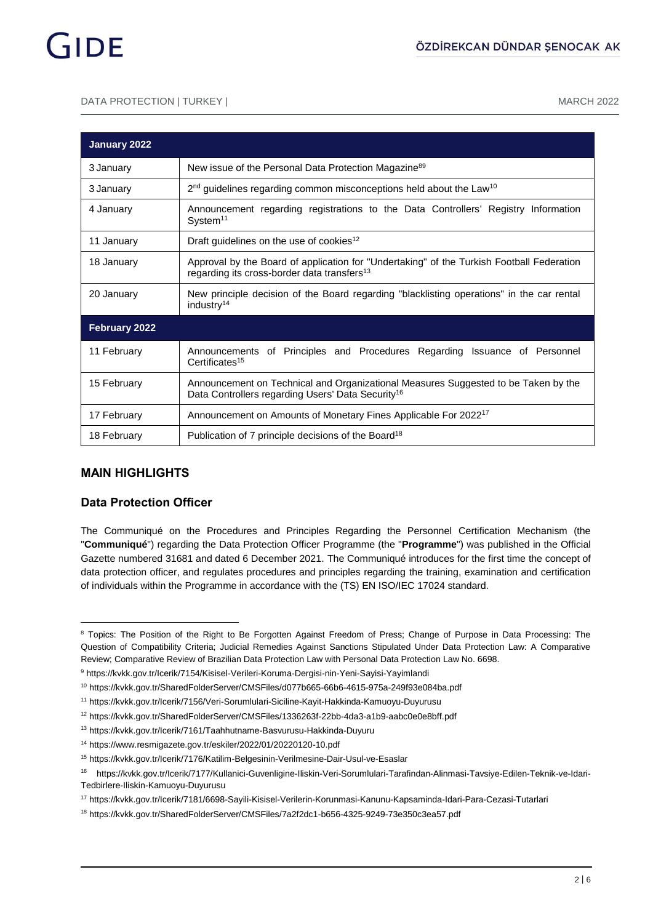#### DATA PROTECTION | TURKEY | MARCH 2022

| January 2022  |                                                                                                                                                      |  |  |
|---------------|------------------------------------------------------------------------------------------------------------------------------------------------------|--|--|
| 3 January     | New issue of the Personal Data Protection Magazine <sup>89</sup>                                                                                     |  |  |
| 3 January     | 2 <sup>nd</sup> guidelines regarding common misconceptions held about the Law <sup>10</sup>                                                          |  |  |
| 4 January     | Announcement regarding registrations to the Data Controllers' Registry Information<br>System <sup>11</sup>                                           |  |  |
| 11 January    | Draft guidelines on the use of cookies <sup>12</sup>                                                                                                 |  |  |
| 18 January    | Approval by the Board of application for "Undertaking" of the Turkish Football Federation<br>regarding its cross-border data transfers <sup>13</sup> |  |  |
| 20 January    | New principle decision of the Board regarding "blacklisting operations" in the car rental<br>industry <sup>14</sup>                                  |  |  |
| February 2022 |                                                                                                                                                      |  |  |
| 11 February   | Announcements of Principles and Procedures Regarding Issuance of Personnel<br>Certificates <sup>15</sup>                                             |  |  |
| 15 February   | Announcement on Technical and Organizational Measures Suggested to be Taken by the<br>Data Controllers regarding Users' Data Security <sup>16</sup>  |  |  |
| 17 February   | Announcement on Amounts of Monetary Fines Applicable For 2022 <sup>17</sup>                                                                          |  |  |
| 18 February   | Publication of 7 principle decisions of the Board <sup>18</sup>                                                                                      |  |  |

### **MAIN HIGHLIGHTS**

l

### **Data Protection Officer**

The Communiqué on the Procedures and Principles Regarding the Personnel Certification Mechanism (the "**Communiqué**") regarding the Data Protection Officer Programme (the "**Programme**") was published in the Official Gazette numbered 31681 and dated 6 December 2021. The Communiqué introduces for the first time the concept of data protection officer, and regulates procedures and principles regarding the training, examination and certification of individuals within the Programme in accordance with the (TS) EN ISO/IEC 17024 standard.

<sup>&</sup>lt;sup>8</sup> Topics: The Position of the Right to Be Forgotten Against Freedom of Press: Change of Purpose in Data Processing: The Question of Compatibility Criteria; Judicial Remedies Against Sanctions Stipulated Under Data Protection Law: A Comparative Review; Comparative Review of Brazilian Data Protection Law with Personal Data Protection Law No. 6698.

<sup>9</sup> https://kvkk.gov.tr/Icerik/7154/Kisisel-Verileri-Koruma-Dergisi-nin-Yeni-Sayisi-Yayimlandi

<sup>10</sup> https://kvkk.gov.tr/SharedFolderServer/CMSFiles/d077b665-66b6-4615-975a-249f93e084ba.pdf

<sup>11</sup> https://kvkk.gov.tr/Icerik/7156/Veri-Sorumlulari-Siciline-Kayit-Hakkinda-Kamuoyu-Duyurusu

<sup>12</sup> https://kvkk.gov.tr/SharedFolderServer/CMSFiles/1336263f-22bb-4da3-a1b9-aabc0e0e8bff.pdf

<sup>13</sup> https://kvkk.gov.tr/Icerik/7161/Taahhutname-Basvurusu-Hakkinda-Duyuru

<sup>14</sup> https://www.resmigazete.gov.tr/eskiler/2022/01/20220120-10.pdf

<sup>15</sup> https://kvkk.gov.tr/Icerik/7176/Katilim-Belgesinin-Verilmesine-Dair-Usul-ve-Esaslar

<sup>16</sup> https://kvkk.gov.tr/Icerik/7177/Kullanici-Guvenligine-Iliskin-Veri-Sorumlulari-Tarafindan-Alinmasi-Tavsiye-Edilen-Teknik-ve-Idari-Tedbirlere-Iliskin-Kamuoyu-Duyurusu

<sup>17</sup> https://kvkk.gov.tr/Icerik/7181/6698-Sayili-Kisisel-Verilerin-Korunmasi-Kanunu-Kapsaminda-Idari-Para-Cezasi-Tutarlari

<sup>18</sup> https://kvkk.gov.tr/SharedFolderServer/CMSFiles/7a2f2dc1-b656-4325-9249-73e350c3ea57.pdf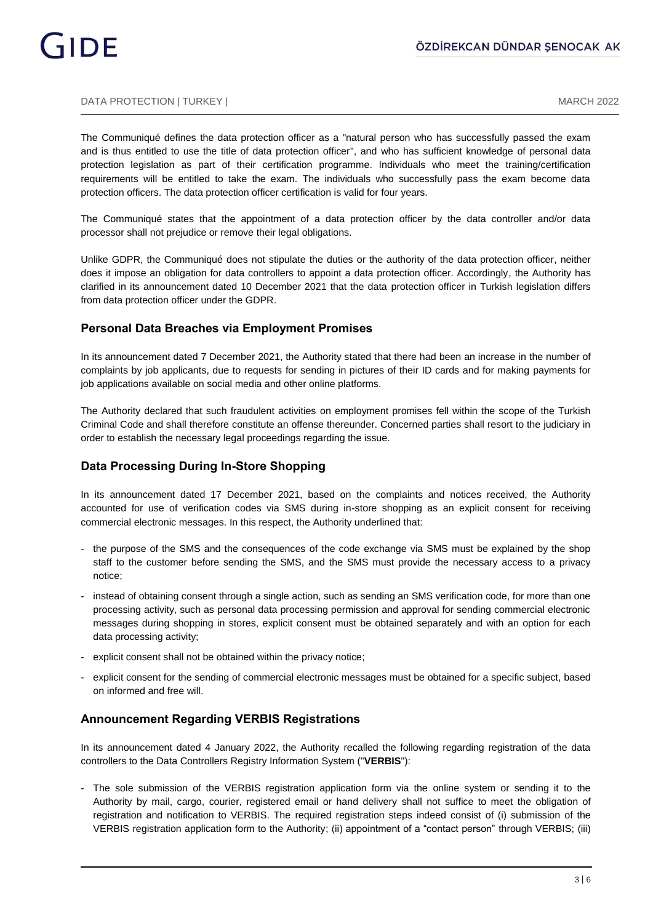#### DATA PROTECTION | TURKEY | MARCH 2022

The Communiqué defines the data protection officer as a "natural person who has successfully passed the exam and is thus entitled to use the title of data protection officer", and who has sufficient knowledge of personal data protection legislation as part of their certification programme. Individuals who meet the training/certification requirements will be entitled to take the exam. The individuals who successfully pass the exam become data protection officers. The data protection officer certification is valid for four years.

The Communiqué states that the appointment of a data protection officer by the data controller and/or data processor shall not prejudice or remove their legal obligations.

Unlike GDPR, the Communiqué does not stipulate the duties or the authority of the data protection officer, neither does it impose an obligation for data controllers to appoint a data protection officer. Accordingly, the Authority has clarified in its announcement dated 10 December 2021 that the data protection officer in Turkish legislation differs from data protection officer under the GDPR.

#### **Personal Data Breaches via Employment Promises**

In its announcement dated 7 December 2021, the Authority stated that there had been an increase in the number of complaints by job applicants, due to requests for sending in pictures of their ID cards and for making payments for job applications available on social media and other online platforms.

The Authority declared that such fraudulent activities on employment promises fell within the scope of the Turkish Criminal Code and shall therefore constitute an offense thereunder. Concerned parties shall resort to the judiciary in order to establish the necessary legal proceedings regarding the issue.

#### **Data Processing During In-Store Shopping**

In its announcement dated 17 December 2021, based on the complaints and notices received, the Authority accounted for use of verification codes via SMS during in-store shopping as an explicit consent for receiving commercial electronic messages. In this respect, the Authority underlined that:

- the purpose of the SMS and the consequences of the code exchange via SMS must be explained by the shop staff to the customer before sending the SMS, and the SMS must provide the necessary access to a privacy notice;
- instead of obtaining consent through a single action, such as sending an SMS verification code, for more than one processing activity, such as personal data processing permission and approval for sending commercial electronic messages during shopping in stores, explicit consent must be obtained separately and with an option for each data processing activity;
- explicit consent shall not be obtained within the privacy notice;
- explicit consent for the sending of commercial electronic messages must be obtained for a specific subject, based on informed and free will.

#### **Announcement Regarding VERBIS Registrations**

In its announcement dated 4 January 2022, the Authority recalled the following regarding registration of the data controllers to the Data Controllers Registry Information System ("**VERBIS**"):

- The sole submission of the VERBIS registration application form via the online system or sending it to the Authority by mail, cargo, courier, registered email or hand delivery shall not suffice to meet the obligation of registration and notification to VERBIS. The required registration steps indeed consist of (i) submission of the VERBIS registration application form to the Authority; (ii) appointment of a "contact person" through VERBIS; (iii)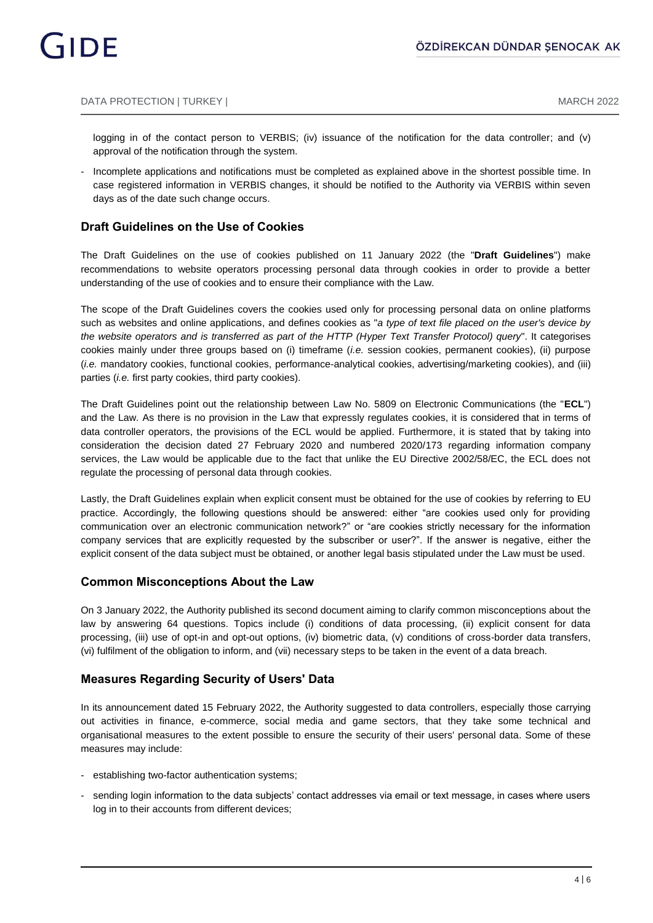logging in of the contact person to VERBIS; (iv) issuance of the notification for the data controller; and (v) approval of the notification through the system.

- Incomplete applications and notifications must be completed as explained above in the shortest possible time. In case registered information in VERBIS changes, it should be notified to the Authority via VERBIS within seven days as of the date such change occurs.

#### **Draft Guidelines on the Use of Cookies**

The Draft Guidelines on the use of cookies published on 11 January 2022 (the "**Draft Guidelines**") make recommendations to website operators processing personal data through cookies in order to provide a better understanding of the use of cookies and to ensure their compliance with the Law.

The scope of the Draft Guidelines covers the cookies used only for processing personal data on online platforms such as websites and online applications, and defines cookies as "*a type of text file placed on the user's device by the website operators and is transferred as part of the HTTP (Hyper Text Transfer Protocol) query*". It categorises cookies mainly under three groups based on (i) timeframe (*i.e.* session cookies, permanent cookies), (ii) purpose (*i.e.* mandatory cookies, functional cookies, performance-analytical cookies, advertising/marketing cookies), and (iii) parties (*i.e.* first party cookies, third party cookies).

The Draft Guidelines point out the relationship between Law No. 5809 on Electronic Communications (the "**ECL**") and the Law. As there is no provision in the Law that expressly regulates cookies, it is considered that in terms of data controller operators, the provisions of the ECL would be applied. Furthermore, it is stated that by taking into consideration the decision dated 27 February 2020 and numbered 2020/173 regarding information company services, the Law would be applicable due to the fact that unlike the EU Directive 2002/58/EC, the ECL does not regulate the processing of personal data through cookies.

Lastly, the Draft Guidelines explain when explicit consent must be obtained for the use of cookies by referring to EU practice. Accordingly, the following questions should be answered: either "are cookies used only for providing communication over an electronic communication network?" or "are cookies strictly necessary for the information company services that are explicitly requested by the subscriber or user?". If the answer is negative, either the explicit consent of the data subject must be obtained, or another legal basis stipulated under the Law must be used.

#### **Common Misconceptions About the Law**

On 3 January 2022, the Authority published its second document aiming to clarify common misconceptions about the law by answering 64 questions. Topics include (i) conditions of data processing, (ii) explicit consent for data processing, (iii) use of opt-in and opt-out options, (iv) biometric data, (v) conditions of cross-border data transfers, (vi) fulfilment of the obligation to inform, and (vii) necessary steps to be taken in the event of a data breach.

#### **Measures Regarding Security of Users' Data**

In its announcement dated 15 February 2022, the Authority suggested to data controllers, especially those carrying out activities in finance, e-commerce, social media and game sectors, that they take some technical and organisational measures to the extent possible to ensure the security of their users' personal data. Some of these measures may include:

- establishing two-factor authentication systems;
- sending login information to the data subjects' contact addresses via email or text message, in cases where users log in to their accounts from different devices;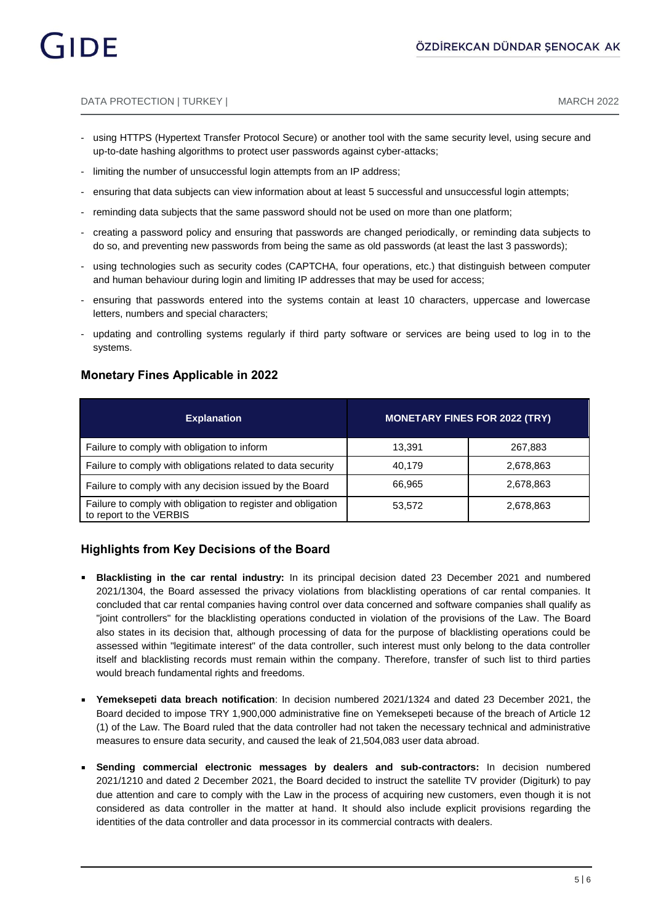#### DATA PROTECTION | TURKEY | MARCH 2022

- using HTTPS (Hypertext Transfer Protocol Secure) or another tool with the same security level, using secure and up-to-date hashing algorithms to protect user passwords against cyber-attacks;
- limiting the number of unsuccessful login attempts from an IP address;
- ensuring that data subjects can view information about at least 5 successful and unsuccessful login attempts;
- reminding data subjects that the same password should not be used on more than one platform;
- creating a password policy and ensuring that passwords are changed periodically, or reminding data subjects to do so, and preventing new passwords from being the same as old passwords (at least the last 3 passwords);
- using technologies such as security codes (CAPTCHA, four operations, etc.) that distinguish between computer and human behaviour during login and limiting IP addresses that may be used for access;
- ensuring that passwords entered into the systems contain at least 10 characters, uppercase and lowercase letters, numbers and special characters;
- updating and controlling systems regularly if third party software or services are being used to log in to the systems.

### **Monetary Fines Applicable in 2022**

| <b>Explanation</b>                                                                      | <b>MONETARY FINES FOR 2022 (TRY)</b> |           |
|-----------------------------------------------------------------------------------------|--------------------------------------|-----------|
| Failure to comply with obligation to inform                                             | 13.391                               | 267,883   |
| Failure to comply with obligations related to data security                             | 40.179                               | 2,678,863 |
| Failure to comply with any decision issued by the Board                                 | 66.965                               | 2,678,863 |
| Failure to comply with obligation to register and obligation<br>to report to the VERBIS | 53,572                               | 2,678,863 |

### **Highlights from Key Decisions of the Board**

- **Blacklisting in the car rental industry:** In its principal decision dated 23 December 2021 and numbered 2021/1304, the Board assessed the privacy violations from blacklisting operations of car rental companies. It concluded that car rental companies having control over data concerned and software companies shall qualify as "joint controllers" for the blacklisting operations conducted in violation of the provisions of the Law. The Board also states in its decision that, although processing of data for the purpose of blacklisting operations could be assessed within "legitimate interest" of the data controller, such interest must only belong to the data controller itself and blacklisting records must remain within the company. Therefore, transfer of such list to third parties would breach fundamental rights and freedoms.
- **Yemeksepeti data breach notification**: In decision numbered 2021/1324 and dated 23 December 2021, the Board decided to impose TRY 1,900,000 administrative fine on Yemeksepeti because of the breach of Article 12 (1) of the Law. The Board ruled that the data controller had not taken the necessary technical and administrative measures to ensure data security, and caused the leak of 21,504,083 user data abroad.
- **Sending commercial electronic messages by dealers and sub-contractors:** In decision numbered 2021/1210 and dated 2 December 2021, the Board decided to instruct the satellite TV provider (Digiturk) to pay due attention and care to comply with the Law in the process of acquiring new customers, even though it is not considered as data controller in the matter at hand. It should also include explicit provisions regarding the identities of the data controller and data processor in its commercial contracts with dealers.